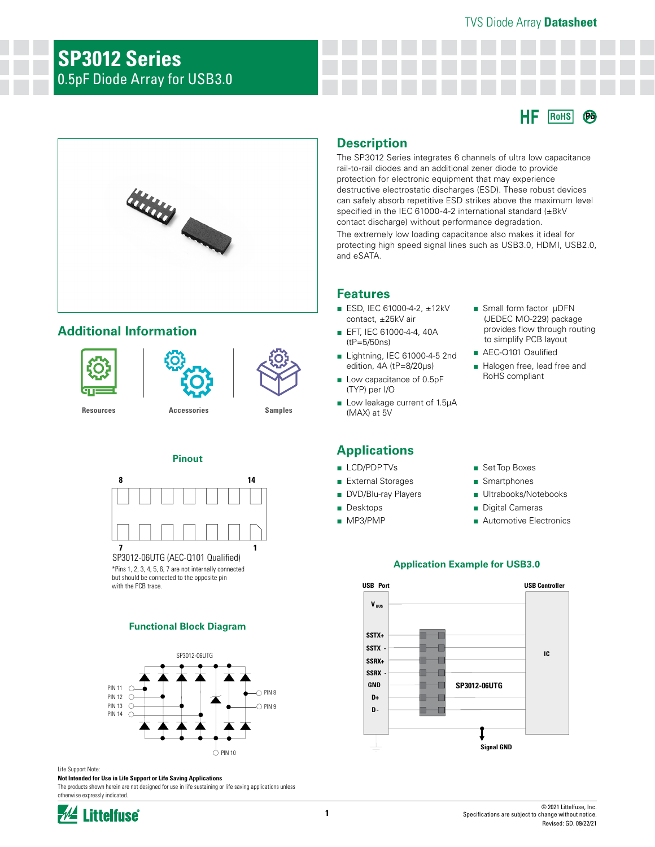# TVS Diode Array **Datasheet**

# **SP3012 Series** 0.5pF Diode Array for USB3.0





# **Additional Information**





**[Resources](https://www.littelfuse.com/products/tvs-diode-arrays/low-capacitance-esd-protection/sp3012.aspx#TechnicalResources) [Accessories](https://www.littelfuse.com/products/tvs-diode-arrays/low-capacitance-esd-protection/sp3012.aspx#EnvironmentalInfo) [Samples](https://www.littelfuse.com/products/tvs-diode-arrays/low-capacitance-esd-protection/sp3012.aspx#ElectricalCharacteristics)**

# **Pinout**



SP3012-06UTG (AEC-Q101 Qualified) \*Pins 1, 2, 3, 4, 5, 6, 7 are not internally connected but should be connected to the opposite pin

with the PCB trace.

# **Functional Block Diagram**



#### Life Support Note: **Not Intended for Use in Life Support or Life Saving Applications**

The products shown herein are not designed for use in life sustaining or life saving applications unless otherwise expressly indicated.



# **Description**

The SP3012 Series integrates 6 channels of ultra low capacitance rail-to-rail diodes and an additional zener diode to provide protection for electronic equipment that may experience destructive electrostatic discharges (ESD). These robust devices can safely absorb repetitive ESD strikes above the maximum level specified in the IEC 61000-4-2 international standard (±8kV contact discharge) without performance degradation.

The extremely low loading capacitance also makes it ideal for protecting high speed signal lines such as USB3.0, HDMI, USB2.0, and eSATA.

# **Features**

- ESD, IEC 61000-4-2, ±12kV contact, ±25kV air
- EFT, IEC 61000-4-4, 40A (tP=5/50ns)
- Lightning, IEC 61000-4-5 2nd edition, 4A (tP=8/20μs)
- Low capacitance of 0.5pF (TYP) per I/O
- Low leakage current of 1.5µA (MAX) at 5V

# **Applications**

- LCD/PDP TVs
- External Storages
- DVD/Blu-ray Players
- Desktops
- MP3/PMP
- Small form factor μDFN (JEDEC MO-229) package provides flow through routing to simplify PCB layout
- AEC-Q101 Qaulified
- Halogen free, lead free and RoHS compliant
- Set Top Boxes
- Smartphones
- Ultrabooks/Notebooks
- Digital Cameras
- Automotive Electronics

# **Application Example for USB3.0**

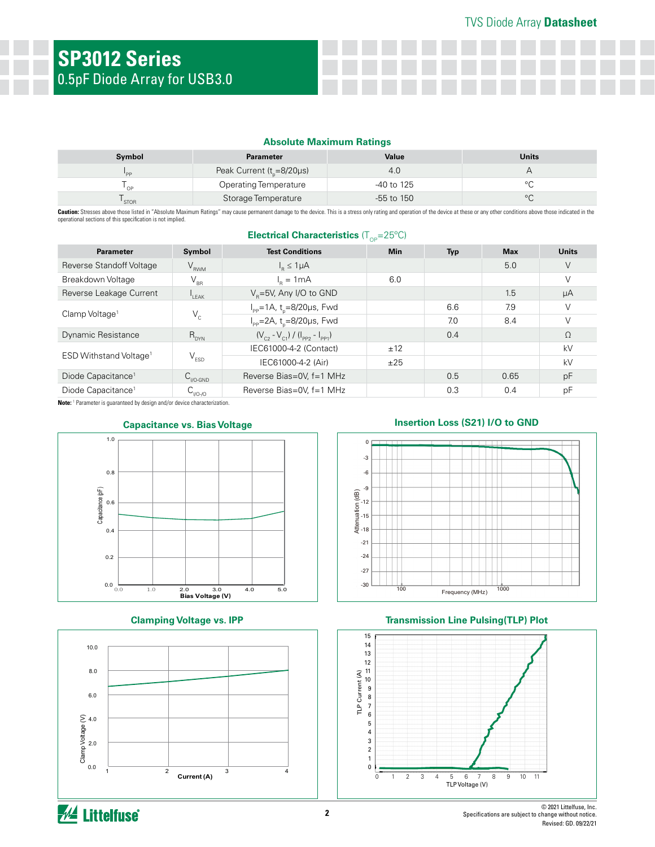#### **Absolute Maximum Ratings**

| Symbol          | <b>Parameter</b>                | Value        | Units   |
|-----------------|---------------------------------|--------------|---------|
| $P_{\text{pp}}$ | Peak Current ( $t_{p}$ =8/20µs) | 4.0          |         |
| OP              | <b>Operating Temperature</b>    | -40 to 125   | $\circ$ |
| <b>STOR</b>     | Storage Temperature             | $-55$ to 150 | $\circ$ |

Caution: Stresses above those listed in "Absolute Maximum Ratings" may cause permanent damage to the device. This is a stress only rating and operation of the device at these or any other conditions above those indicated i operational sections of this specification is not implied. **Electrical Characteristics** (T<sub>OP</sub>=25°C)

| <b>Parameter</b>                   | Symbol                                                            | <b>Test Conditions</b>                             | <b>Min</b> | <b>Typ</b> | <b>Max</b> | <b>Units</b> |
|------------------------------------|-------------------------------------------------------------------|----------------------------------------------------|------------|------------|------------|--------------|
| Reverse Standoff Voltage           | $V_{RWM}$                                                         | $I_p \leq 1\mu A$                                  |            |            | 5.0        | V            |
| Breakdown Voltage                  | $V_{\rm BR}$                                                      | $I_n = 1mA$                                        | 6.0        |            |            | $\vee$       |
| Reverse Leakage Current            | LEAK                                                              | $VB=5V$ , Any I/O to GND                           |            |            | 1.5        | μA           |
| Clamp Voltage <sup>1</sup>         |                                                                   | $I_{\text{pp}} = 1A$ , t <sub>n</sub> =8/20µs, Fwd |            | 6.6        | 7.9        | V            |
|                                    | $V_c$                                                             | $I_{\text{pp}} = 2A$ , t <sub>n</sub> =8/20µs, Fwd |            | 7.0        | 8.4        |              |
| Dynamic Resistance                 | $R_{DYN}$                                                         | $(V_{c2} - V_{c1}) / (I_{pp2} - I_{pp1})$          |            | 0.4        |            | $\Omega$     |
| ESD Withstand Voltage <sup>1</sup> |                                                                   | IEC61000-4-2 (Contact)                             | ±12        |            |            | kV           |
|                                    | $V_{ESD}$                                                         | IEC61000-4-2 (Air)                                 | ±25        |            |            | kV           |
| Diode Capacitance <sup>1</sup>     | $C_{\text{IVO-GND}}$                                              | Reverse Bias=0V, f=1 MHz                           |            | 0.5        | 0.65       | pF           |
| Diode Capacitance <sup>1</sup>     | $\mathsf{C}_{\scriptscriptstyle\mathsf{1/O}\text{-}\mathsf{1/O}}$ | Reverse Bias=0V, f=1 MHz                           |            | 0.3        | 0.4        | рF           |

**Note:** <sup>1</sup> Parameter is guaranteed by design and/or device characterization.





**Clamping Voltage vs. IPP**



# **Capacitance vs. Bias Voltage Insertion Loss (S21) I/O to GND**



#### **Transmission Line Pulsing(TLP) Plot**

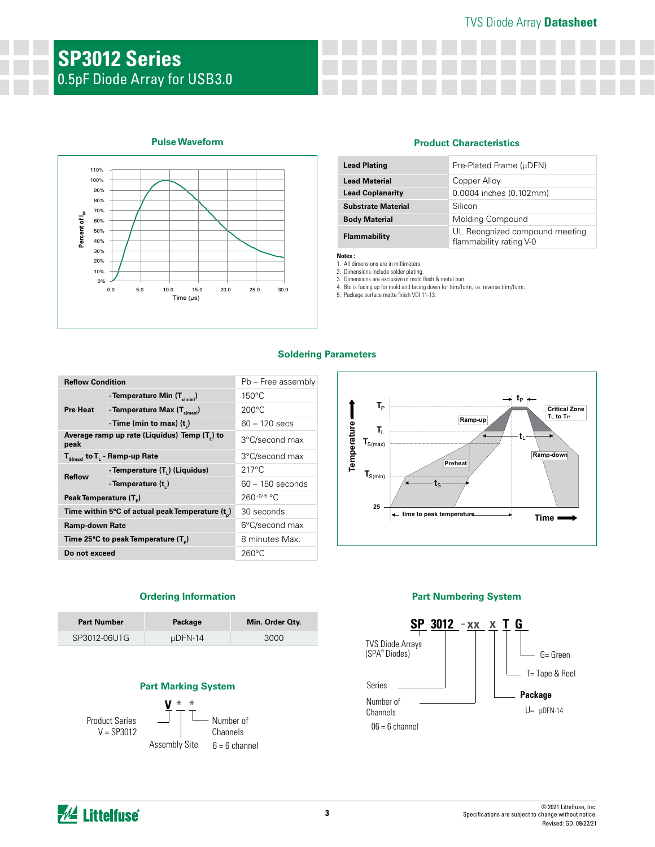# TVS Diode Array **Datasheet**

# **SP3012 Series** 0.5pF Diode Array for USB3.0



# **Pulse Waveform Product Characteristics**

| <b>Lead Plating</b>       | Pre-Plated Frame (µDFN)                                   |
|---------------------------|-----------------------------------------------------------|
| <b>Lead Material</b>      | Copper Alloy                                              |
| <b>Lead Coplanarity</b>   | 0.0004 inches (0.102mm)                                   |
| <b>Substrate Material</b> | Silicon                                                   |
| <b>Body Material</b>      | Molding Compound                                          |
| Flammability              | UL Recognized compound meeting<br>flammability rating V-0 |

**Notes :**  1. All dimensions are in millimeters

2. Dimensions include solder plating. 3. Dimensions are exclusive of mold flash & metal burr.

4. Blo is facing up for mold and facing down for trim/form, i.e. reverse trim/form. 5. Package surface matte finish VDI 11-13.

#### **Soldering Parameters**

| <b>Reflow Condition</b>            |                                                | Pb - Free assembly |  |  |
|------------------------------------|------------------------------------------------|--------------------|--|--|
| <b>Pre Heat</b>                    | - Temperature Min $(T_{s(min)})$               | $150^{\circ}$ C    |  |  |
|                                    | - Temperature Max $(T_{s(max)})$               | $200^{\circ}$ C    |  |  |
|                                    | - Time (min to max) $(t_*)$                    | $60 - 120$ secs    |  |  |
| peak                               | Average ramp up rate (Liquidus) Temp (T,) to   | 3°C/second max     |  |  |
|                                    | $T_{S(max)}$ to $T_{L}$ - Ramp-up Rate         | 3°C/second max     |  |  |
| <b>Reflow</b>                      | - Temperature (T <sub>1</sub> ) (Liquidus)     | $217^{\circ}$ C    |  |  |
|                                    | - Temperature (t.)                             | $60 - 150$ seconds |  |  |
| Peak Temperature (T <sub>a</sub> ) |                                                | $260^{+0/5}$ °C    |  |  |
|                                    | Time within 5°C of actual peak Temperature (t) | 30 seconds         |  |  |
| <b>Ramp-down Rate</b>              |                                                | 6°C/second max     |  |  |
|                                    | Time 25°C to peak Temperature (T)              | 8 minutes Max.     |  |  |
| Do not exceed                      |                                                | $260^{\circ}$ C    |  |  |



# **Ordering Information**

| <b>Part Number</b> | Package | Min. Order Oty. |
|--------------------|---------|-----------------|
| SP3012-06UTG       | uDFN-14 | 3000            |

# **Part Marking System**



Assembly Site Number of Channels  $6 = 6$  channel

# **Part Numbering System**



*M* Littelfuse®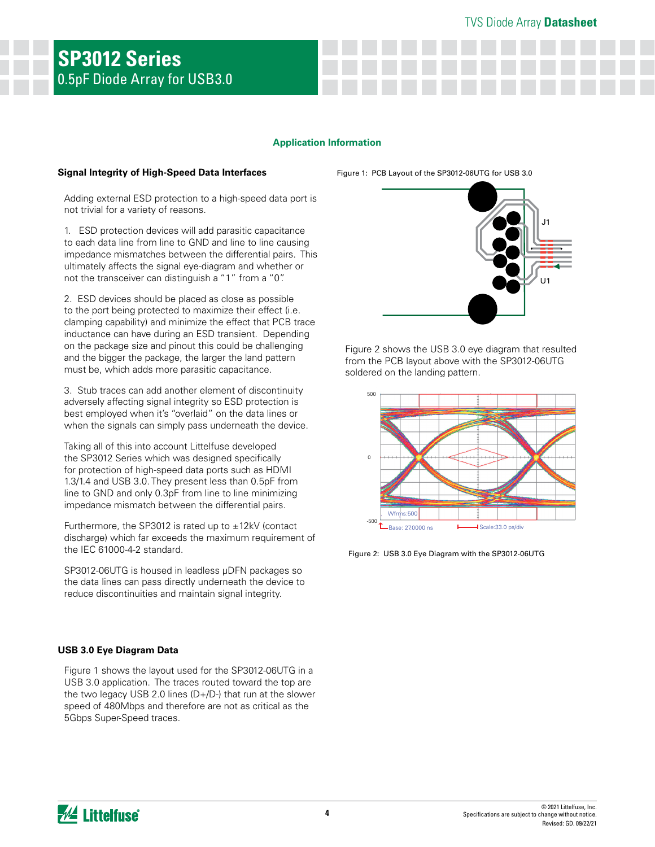# **Application Information**

#### **Signal Integrity of High-Speed Data Interfaces**

Figure 1: PCB Layout of the SP3012-06UTG for USB 3.0

Adding external ESD protection to a high-speed data port is not trivial for a variety of reasons.

1. ESD protection devices will add parasitic capacitance to each data line from line to GND and line to line causing impedance mismatches between the differential pairs. This ultimately affects the signal eye-diagram and whether or not the transceiver can distinguish a "1" from a "0".

2. ESD devices should be placed as close as possible to the port being protected to maximize their effect (i.e. clamping capability) and minimize the effect that PCB trace inductance can have during an ESD transient. Depending on the package size and pinout this could be challenging and the bigger the package, the larger the land pattern must be, which adds more parasitic capacitance.

3. Stub traces can add another element of discontinuity adversely affecting signal integrity so ESD protection is best employed when it's "overlaid" on the data lines or when the signals can simply pass underneath the device.

Taking all of this into account Littelfuse developed the SP3012 Series which was designed specifically for protection of high-speed data ports such as HDMI 1.3/1.4 and USB 3.0. They present less than 0.5pF from line to GND and only 0.3pF from line to line minimizing impedance mismatch between the differential pairs.

Furthermore, the SP3012 is rated up to  $\pm$ 12kV (contact discharge) which far exceeds the maximum requirement of the IEC 61000-4-2 standard.

SP3012-06UTG is housed in leadless µDFN packages so the data lines can pass directly underneath the device to reduce discontinuities and maintain signal integrity.

# **USB 3.0 Eye Diagram Data**

Figure 1 shows the layout used for the SP3012-06UTG in a USB 3.0 application. The traces routed toward the top are the two legacy USB 2.0 lines (D+/D-) that run at the slower speed of 480Mbps and therefore are not as critical as the 5Gbps Super-Speed traces.



Figure 2 shows the USB 3.0 eye diagram that resulted from the PCB layout above with the SP3012-06UTG soldered on the landing pattern.



Figure 2: USB 3.0 Eye Diagram with the SP3012-06UTG